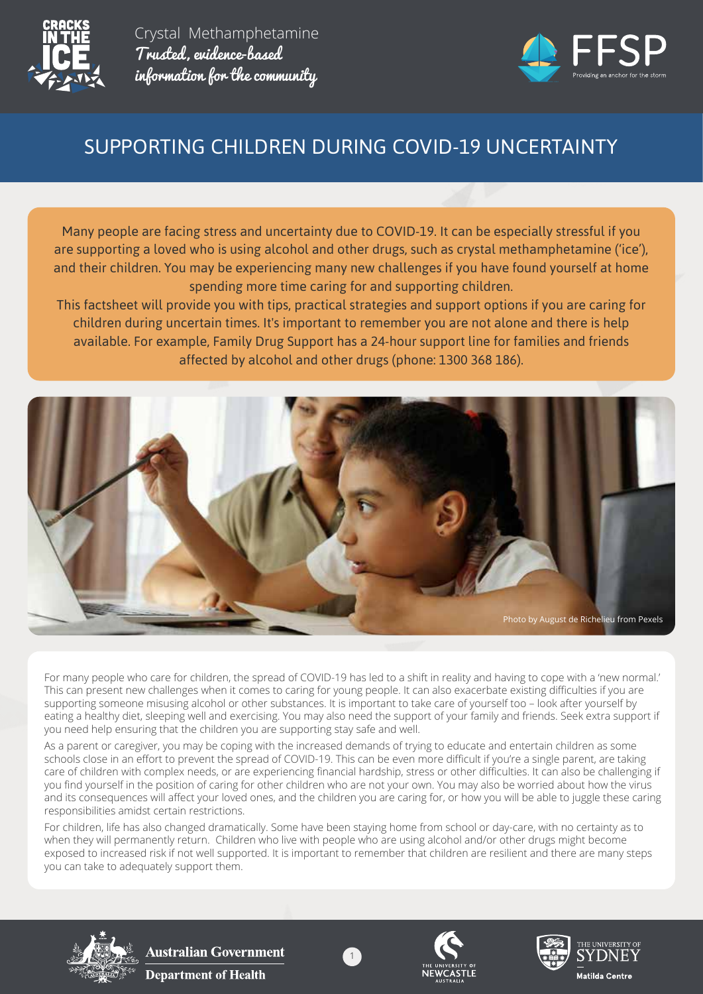



# SUPPORTING CHILDREN DURING COVID-19 UNCERTAINTY

Many people are facing stress and uncertainty due to COVID-19. It can be especially stressful if you are supporting a loved who is using alcohol and other drugs, such as crystal methamphetamine ('ice'), and their children. You may be experiencing many new challenges if you have found yourself at home spending more time caring for and supporting children.

This factsheet will provide you with tips, practical strategies and support options if you are caring for children during uncertain times. It's important to remember you are not alone and there is help available. For example, Family Drug Support has a 24-hour support line for families and friends affected by alcohol and other drugs (phone: 1300 368 186).



For many people who care for children, the spread of COVID-19 has led to a shift in reality and having to cope with a 'new normal.' This can present new challenges when it comes to caring for young people. It can also exacerbate existing difficulties if you are supporting someone misusing alcohol or other substances. It is important to take care of yourself too – look after yourself by eating a healthy diet, sleeping well and exercising. You may also need the support of your family and friends. Seek extra support if you need help ensuring that the children you are supporting stay safe and well.

As a parent or caregiver, you may be coping with the increased demands of trying to educate and entertain children as some schools close in an effort to prevent the spread of COVID-19. This can be even more difficult if you're a single parent, are taking care of children with complex needs, or are experiencing financial hardship, stress or other difficulties. It can also be challenging if you find yourself in the position of caring for other children who are not your own. You may also be worried about how the virus and its consequences will affect your loved ones, and the children you are caring for, or how you will be able to juggle these caring responsibilities amidst certain restrictions.

For children, life has also changed dramatically. Some have been staying home from school or day-care, with no certainty as to when they will permanently return. Children who live with people who are using alcohol and/or other drugs might become exposed to increased risk if not well supported. It is important to remember that children are resilient and there are many steps you can take to adequately support them.

1



**Australian Government Department of Health** 





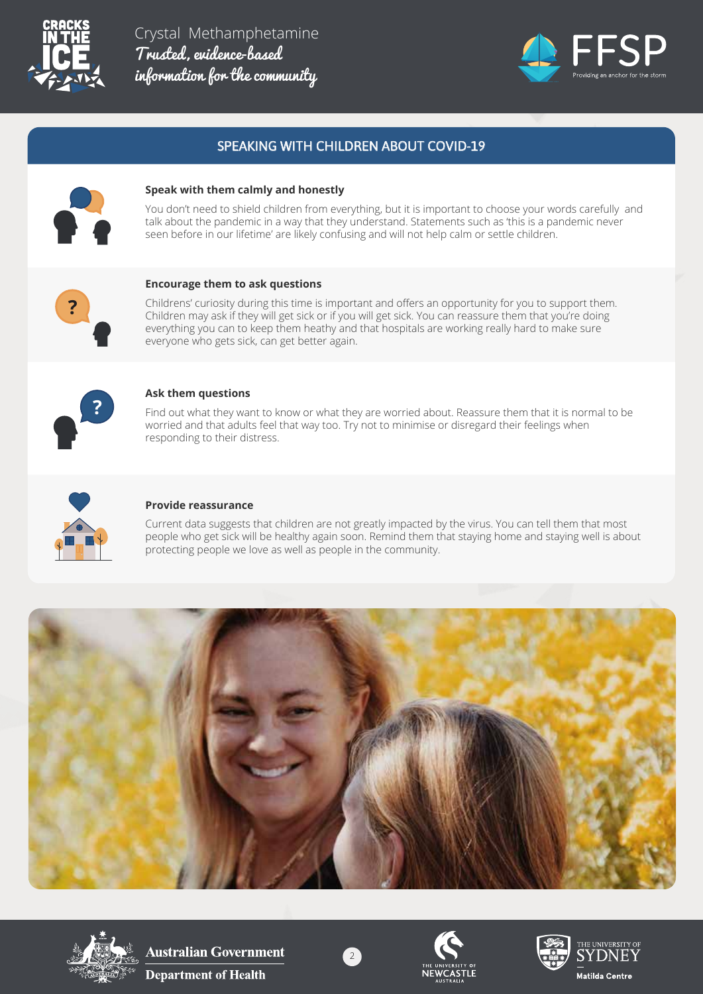



# SPEAKING WITH CHILDREN ABOUT COVID-19



### **Speak with them calmly and honestly**

You don't need to shield children from everything, but it is important to choose your words carefully and talk about the pandemic in a way that they understand. Statements such as 'this is a pandemic never seen before in our lifetime' are likely confusing and will not help calm or settle children.



#### **Encourage them to ask questions**

Childrens' curiosity during this time is important and offers an opportunity for you to support them. Children may ask if they will get sick or if you will get sick. You can reassure them that you're doing everything you can to keep them heathy and that hospitals are working really hard to make sure everyone who gets sick, can get better again.



#### **Ask them questions**

Find out what they want to know or what they are worried about. Reassure them that it is normal to be worried and that adults feel that way too. Try not to minimise or disregard their feelings when responding to their distress.



#### **Provide reassurance**

Current data suggests that children are not greatly impacted by the virus. You can tell them that most people who get sick will be healthy again soon. Remind them that staying home and staying well is about protecting people we love as well as people in the community.





**Australian Government Department of Health** 





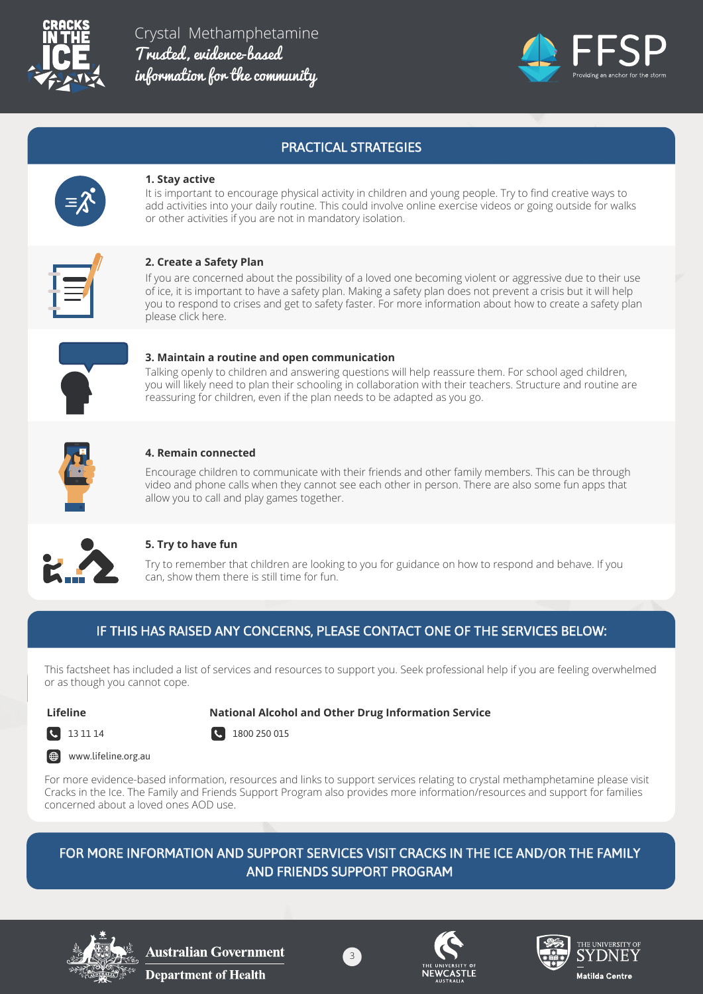



# PRACTICAL STRATEGIES

## **1. Stay active**

It is important to encourage physical activity in children and young people. Try to find creative ways to add activities into your daily routine. This could involve online exercise videos or going outside for walks or other activities if you are not in mandatory isolation.

## **2. Create a Safety Plan**

If you are concerned about the possibility of a loved one becoming violent or aggressive due to their use of ice, it is important to have a safety plan. Making a safety plan does not prevent a crisis but it will help you to respond to crises and get to safety faster. For more information about how to create a safety plan please click here.

#### **3. Maintain a routine and open communication**

Talking openly to children and answering questions will help reassure them. For school aged children, you will likely need to plan their schooling in collaboration with their teachers. Structure and routine are reassuring for children, even if the plan needs to be adapted as you go.



#### **4. Remain connected**

Encourage children to communicate with their friends and other family members. This can be through video and phone calls when they cannot see each other in person. There are also some fun apps that allow you to call and play games together.



## **5. Try to have fun**

Try to remember that children are looking to you for guidance on how to respond and behave. If you can, show them there is still time for fun.

## IF THIS HAS RAISED ANY CONCERNS, PLEASE CONTACT ONE OF THE SERVICES BELOW:

If you cannot cope. This has a result of the service services below: The service services below: The service  $\mathbb{R}^n$ This factsheet has included a list of services and resources to support you. Seek professional help if you are feeling overwhelmed or as though you cannot cope.

#### **Lifeline**

 $\bigoplus$ 

 $\blacksquare$  included a list of services and resources to support you. See to support you are feeling over  $\blacksquare$ **C** 13 11 14





www.lifeline.org.au

To more enables based information, researces and inno to support services relating to crystal meanampmetanime prease noise.<br>Cracks in the Ice. The Family and Friends Support Program also provides more information/resources **Lifeline** For more evidence-based information, resources and links to support services relating to crystal methamphetamine please visit concerned about a loved ones AOD use.

# FOR MORE INFORMATION AND SUPPORT SERVICES VISIT CRACKS IN THE ICE AND/OR THE FAMILY AND FRIENDS SUPPORT PROGRAM

3



Australian Government **Department of Health** 

1800 250 015





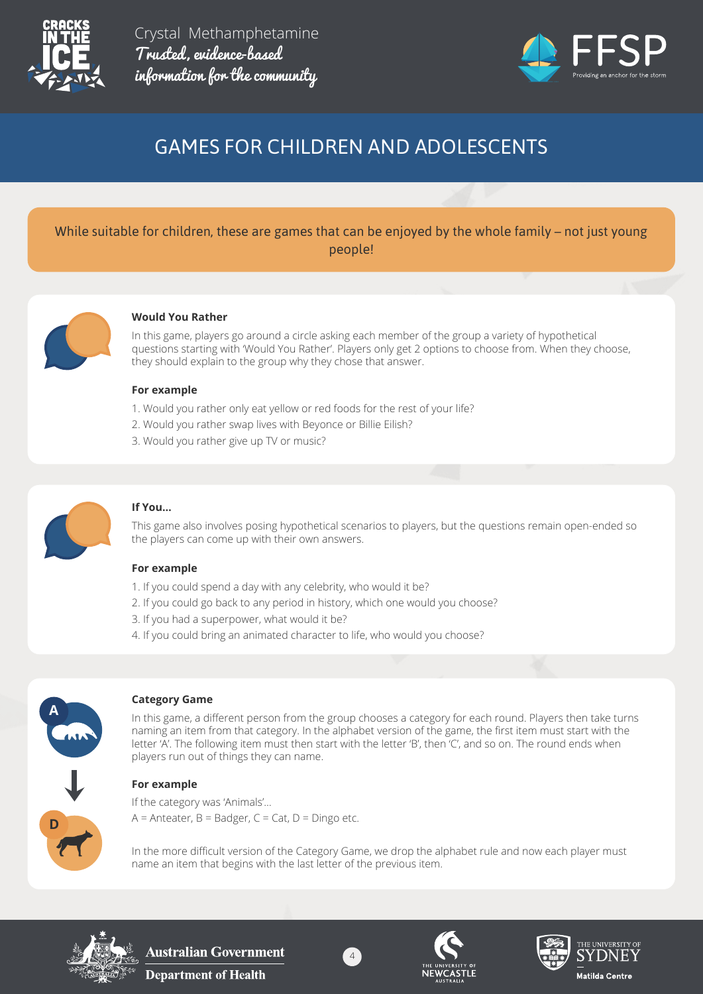



# GAMES FOR CHILDREN AND ADOLESCENTS

# While suitable for children, these are games that can be enjoyed by the whole family – not just young people!



#### **Would You Rather**

In this game, players go around a circle asking each member of the group a variety of hypothetical questions starting with 'Would You Rather'. Players only get 2 options to choose from. When they choose, they should explain to the group why they chose that answer.

#### **For example**

- 1. Would you rather only eat yellow or red foods for the rest of your life?
- 2. Would you rather swap lives with Beyonce or Billie Eilish?
- 3. Would you rather give up TV or music?



#### **If You…**

This game also involves posing hypothetical scenarios to players, but the questions remain open-ended so the players can come up with their own answers.

## **For example**

- 1. If you could spend a day with any celebrity, who would it be?
- 2. If you could go back to any period in history, which one would you choose?
- 3. If you had a superpower, what would it be?
- 4. If you could bring an animated character to life, who would you choose?



#### **Category Game**

In this game, a different person from the group chooses a category for each round. Players then take turns naming an item from that category. In the alphabet version of the game, the first item must start with the letter 'A'. The following item must then start with the letter 'B', then 'C', and so on. The round ends when players run out of things they can name.

## **For example**

If the category was 'Animals'…  $A =$  Anteater,  $B =$  Badger,  $C =$  Cat,  $D =$  Dingo etc.

In the more difficult version of the Category Game, we drop the alphabet rule and now each player must name an item that begins with the last letter of the previous item.



Australian Government **Department of Health** 



4